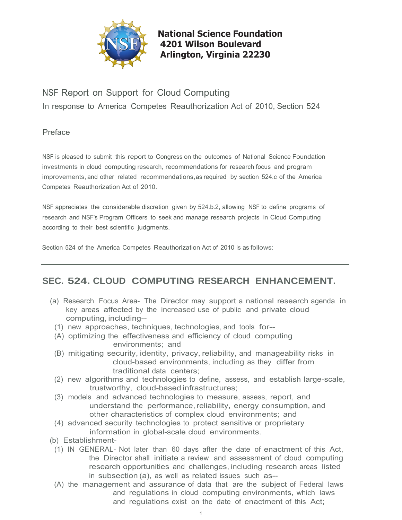

**National Science Foundation 4201 Wilson Boulevard Arlington, Virginia 22230** 

# NSF Report on Support for Cloud Computing

In response to America Competes Reauthorization Act of 2010, Section 524

# Preface

 improvements, and other related recommendations,as required by section 524.c of the America NSF is pleased to submit this report to Congress on the outcomes of National Science Foundation investments in cloud computing research, recommendations for research focus and program Competes Reauthorization Act of 2010.

 NSF appreciates the considerable discretion given by 524.b.2, allowing NSF to define programs of research and NSF's Program Officers to seek and manage research projects in Cloud Computing according to their best scientific judgments.

Section 524 of the America Competes Reauthorization Act of 2010 is as follows:

# **SEC. 524. CLOUD COMPUTING RESEARCH ENHANCEMENT.**

- (a) Research Focus Area- The Director may support a national research agenda in key areas affected by the increased use of public and private cloud computing, including--
	- (1) new approaches, techniques, technologies, and tools for--
	- (A) optimizing the effectiveness and efficiency of cloud computing environments; and
	- (B) mitigating security, identity, privacy, reliability, and manageability risks in cloud-based environments, including as they differ from traditional data centers;
	- (2) new algorithms and technologies to define, assess, and establish large-scale, trustworthy, cloud-based infrastructures;
	- (3) models and advanced technologies to measure, assess, report, and understand the performance, reliability, energy consumption, and other characteristics of complex cloud environments; and
	- (4) advanced security technologies to protect sensitive or proprietary information in global-scale cloud environments.
- (b) Establishment-
	- (1) IN GENERAL- Not later than 60 days after the date of enactment of this Act, the Director shall initiate a review and assessment of cloud computing research opportunities and challenges, including research areas listed in subsection (a), as well as related issues such as--
	- and regulations exist on the date of enactment of this Act; (A) the management and assurance of data that are the subject of Federal laws and regulations in cloud computing environments, which laws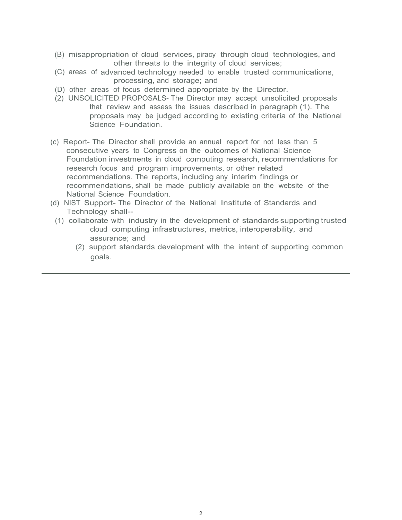- (B) misappropriation of cloud services, piracy through cloud technologies, and other threats to the integrity of cloud services;
- (C) areas of advanced technology needed to enable trusted communications, processing, and storage; and
- (D) other areas of focus determined appropriate by the Director.
- (2) UNSOLICITED PROPOSALS- The Director may accept unsolicited proposals that review and assess the issues described in paragraph (1). The proposals may be judged according to existing criteria of the National Science Foundation.
- research focus and program improvements, or other related (c) Report- The Director shall provide an annual report for not less than 5 consecutive years to Congress on the outcomes of National Science Foundation investments in cloud computing research, recommendations for recommendations. The reports, including any interim findings or recommendations, shall be made publicly available on the website of the National Science Foundation.
- (d) NIST Support- The Director of the National Institute of Standards and Technology shall--
	- (1) collaborate with industry in the development of standards supporting trusted cloud computing infrastructures, metrics, interoperability, and assurance; and
		- (2) support standards development with the intent of supporting common goals.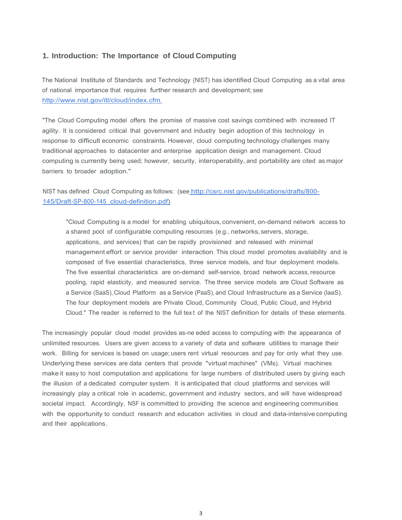#### **1. Introduction: The Importance of Cloud Computing**

The National Institute of Standards and Technology (NIST) has identified Cloud Computing as a vital area of national importance that requires further research and development; see [http://www.nist.gov/itl/cloud/index.cfm.](http://www.nist.gov/itl/cloud/index.cfm) 

"The Cloud Computing model offers the promise of massive cost savings combined with increased IT agility. It is considered critical that government and industry begin adoption of this technology in response to difficult economic constraints. However, cloud computing technology challenges many traditional approaches to datacenter and enterprise application design and management. Cloud computing is currently being used; however, security, interoperability, and portability are cited as major barriers to broader adoption."

### NIST has defined Cloud Computing as follows: (see [http://csrc.nist.gov/publications/drafts/800-](http://csrc.nist.gov/publications/drafts/800-145/Draft-SP-800-145_cloud-definition.pdf) [145/Draft-SP-800-145\\_cloud-definition.pdf\)](http://csrc.nist.gov/publications/drafts/800-145/Draft-SP-800-145_cloud-definition.pdf)

"Cloud Computing is a model for enabling ubiquitous, convenient, on-demand network access to a shared pool of configurable computing resources (e.g., networks, servers, storage, applications, and services) that can be rapidly provisioned and released with minimal management effort or service provider interaction. This cloud model promotes availability and is composed of five essential characteristics, three service models, and four deployment models. The five essential characteristics are on-demand self-service, broad network access, resource pooling, rapid elasticity, and measured service. The three service models are Cloud Software as a Service (SaaS), Cloud Platform as a Service (PaaS), and Cloud Infrastructure as a Service (laaS). The four deployment models are Private Cloud, Community Cloud, Public Cloud, and Hybrid Cloud." The reader is referred to the full text of the NIST definition for details of these elements.

 with the opportunity to conduct research and education activities in cloud and data-intensive computing The increasingly popular cloud model provides as-ne eded access to computing with the appearance of unlimited resources. Users are given access to a variety of data and software utilities to manage their work. Billing for services is based on usage; users rent virtual resources and pay for only what they use. Underlying these services are data centers that provide "virtual machines" (VMs). Virtual machines make it easy to host computation and applications for large numbers of distributed users by giving each the illusion of a dedicated computer system. It is anticipated that cloud platforms and services will increasingly play a critical role in academic, government and industry sectors, and will have widespread societal impact. Accordingly, NSF is committed to providing the science and engineering communities and their applications.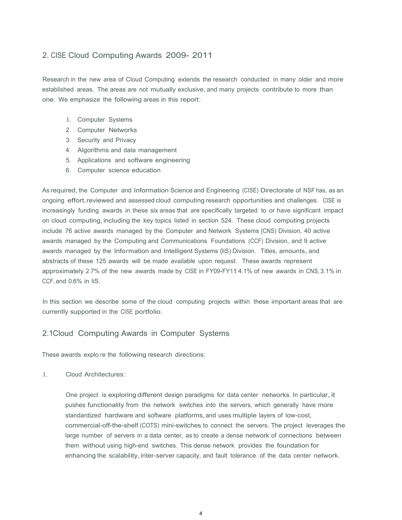## 2. CISE Cloud Computing Awards 2009- 2011

Research in the new area of Cloud Computing extends the research conducted in many older and more established areas. The areas are not mutually exclusive, and many projects contribute to more than one. We emphasize the following areas in this report:

- 1. Computer Systems
- 2. Computer Networks
- 3. Security and Privacy
- 4. Algorithms and data management
- 5. Applications and software engineering
- 6. Computer science education

 on cloud computing, including the key topics listed in section 524. These cloud computing projects approximately 2.7% of the new awards made by CISE in FY09-FY11 4.1% of new awards in CNS, 3.1% in As required, the Computer and Information Science and Engineering (CISE) Directorate of NSF has, as an ongoing effort, reviewed and assessed cloud computing research opportunities and challenges. CISE is increasingly funding awards in these six areas that are specifically targeted to or have significant impact include 76 active awards managed by the Computer and Network Systems {CNS) Division, 40 active awards managed by the Computing and Communications Foundations (CCF) Division, and 9 active awards managed by the Information and Intelligent Systems {IiS} Division. Titles, amounts, and abstracts of these 125 awards will be made available upon request. These awards represent CCF, and 0.6% in liS.

In this section we describe some of the cloud computing projects within these important areas that are currently supported in the CISE portfolio.

### 2.1Cloud Computing Awards in Computer Systems

These awards explo re the following research directions:

 $1_{-}$ Cloud Architectures:

> enhancing the scalability, inter-server capacity, and fault tolerance of the data center network. One project is exploring different design paradigms for data center networks. In particular, it pushes functionality from the network switches into the servers, which generally have more standardized hardware and software platforms, and uses multiple layers of low-cost, commercial-off-the-shelf (COTS) mini-switches to connect the servers. The project leverages the large number of servers in a data center, as to create a dense network of connections between them without using high-end switches. This dense network provides the foundation for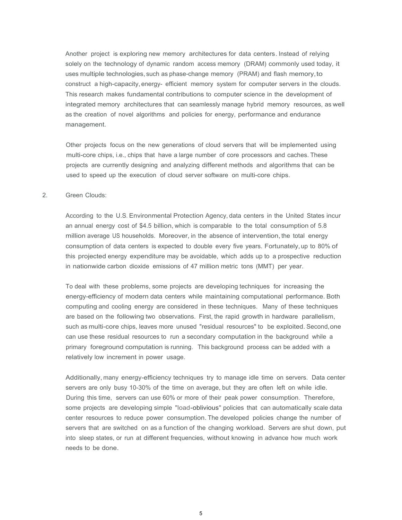Another project is exploring new memory architectures for data centers. Instead of relying construct a high-capacity, energy- efficient memory system for computer servers in the clouds. solely on the technology of dynamic random access memory (DRAM) commonly used today, it uses multiple technologies, such as phase-change memory (PRAM) and flash memory,to This research makes fundamental contributions to computer science in the development of integrated memory architectures that can seamlessly manage hybrid memory resources, as well as the creation of novel algorithms and policies for energy, performance and endurance management.

 Other projects focus on the new generations of cloud servers that will be implemented using multi-core chips, i.e., chips that have a large number of core processors and caches. These projects are currently designing and analyzing different methods and algorithms that can be used to speed up the execution of cloud server software on multi-core chips.

#### 2. Green Clouds:

 According to the U.S. Environmental Protection Agency, data centers in the United States incur an annual energy cost of \$4.5 billion, which is comparable to the total consumption of 5.8 million average US households. Moreover, in the absence of intervention, the total energy consumption of data centers is expected to double every five years. Fortunately, up to 80% of this projected energy expenditure may be avoidable, which adds up to a prospective reduction in nationwide carbon dioxide emissions of 47 million metric tons (MMT) per year.

To deal with these problems, some projects are developing techniques for increasing the energy-efficiency of modern data centers while maintaining computational performance. Both computing and cooling energy are considered in these techniques. Many of these techniques are based on the following two observations. First, the rapid growth in hardware parallelism, such as multi-core chips, leaves more unused "residual resources" to be exploited. Second,one can use these residual resources to run a secondary computation in the background while a primary foreground computation is running. This background process can be added with a relatively low increment in power usage.

 some projects are developing simple "load-oblivious" policies that can automatically scale data Additionally, many energy-efficiency techniques try to manage idle time on servers. Data center servers are only busy 10-30% of the time on average, but they are often left on while idle. During this time, servers can use 60% or more of their peak power consumption. Therefore, center resources to reduce power consumption. The developed policies change the number of servers that are switched on as a function of the changing workload. Servers are shut down, put into sleep states, or run at different frequencies, without knowing in advance how much work needs to be done.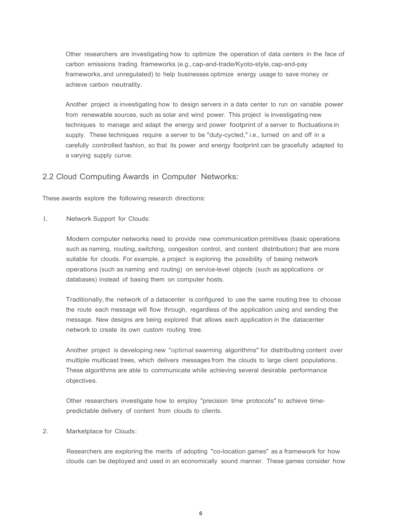Other researchers are investigating how to optimize the operation of data centers in the face of carbon emissions trading frameworks (e.g., cap-and-trade/Kyoto-style, cap-and-pay frameworks, and unregulated) to help businesses optimize energy usage to save money or achieve carbon neutrality.

Another project is investigating how to design servers in a data center to run on variable power from renewable sources, such as solar and wind power. This project is investigating new techniques to manage and adapt the energy and power footprint of a server to fluctuations in supply. These techniques require a server to be "duty-cycled," i.e., turned on and off in a carefully controlled fashion, so that its power and energy footprint can be gracefully adapted to a varying supply curve.

#### 2.2 Cloud Computing Awards in Computer Networks:

These awards explore the following research directions:

1. Network Support for Clouds:

Modern computer networks need to provide new communication primitives (basic operations such as naming, routing, switching, congestion control, and content distribution) that are more suitable for clouds. For example, a project is exploring the possibility of basing network operations (such as naming and routing) on service-level objects (such as applications or databases) instead of basing them on computer hosts.

 Traditionally, the network of a datacenter is configured to use the same routing tree to choose the route each message will flow through, regardless of the application using and sending the message. New designs are being explored that allows each application in the datacenter network to create its own custom routing tree.

Another project is developing new "optimal swarming algorithms" for distributing content over multiple multicast trees, which delivers messages from the clouds to large client populations. These algorithms are able to communicate while achieving several desirable performance objectives.

Other researchers investigate how to employ "precision time protocols" to achieve timepredictable delivery of content from clouds to clients.

#### 2. Marketplace for Clouds:

 clouds can be deployed and used in an economically sound manner. These games consider how Researchers are exploring the merits of adopting "co-location games" as a framework for how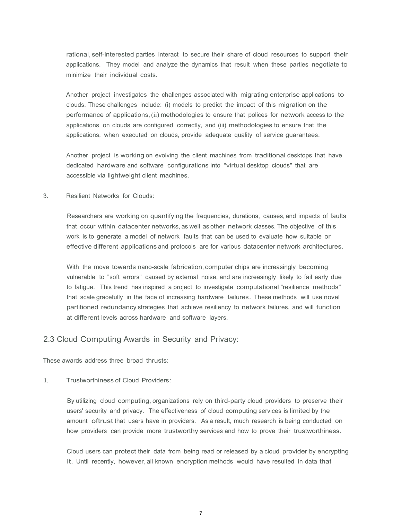rational, self-interested parties interact to secure their share of cloud resources to support their applications. They model and analyze the dynamics that result when these parties negotiate to minimize their individual costs.

Another project investigates the challenges associated with migrating enterprise applications to clouds. These challenges include: (i) models to predict the impact of this migration on the performance of applications, (ii) methodologies to ensure that polices for network access to the applications on clouds are configured correctly, and (iii) methodologies to ensure that the applications, when executed on clouds, provide adequate quality of service guarantees.

Another project is working on evolving the client machines from traditional desktops that have dedicated hardware and software configurations into "virtual desktop clouds" that are accessible via lightweight client machines.

#### 3. Resilient Networks for Clouds:

Researchers are working on quantifying the frequencies, durations, causes, and impacts of faults that occur within datacenter networks, as well as other network classes. The objective of this work is to generate a model of network faults that can be used to evaluate how suitable or effective different applications and protocols are for various datacenter network architectures.

 that scale gracefully in the face of increasing hardware failures. These methods will use novel With the move towards nano-scale fabrication, computer chips are increasingly becoming vulnerable to "soft errors" caused by external noise, and are increasingly likely to fail early due to fatigue. This trend has inspired a project to investigate computational "resilience methods" partitioned redundancy strategies that achieve resiliency to network failures, and will function at different levels across hardware and software layers.

#### 2.3 Cloud Computing Awards in Security and Privacy:

These awards address three broad thrusts:

1. Trustworthiness of Cloud Providers:

 users' security and privacy. The effectiveness of cloud computing services is limited by the how providers can provide more trustworthy services and how to prove their trustworthiness. By utilizing cloud computing, organizations rely on third-party cloud providers to preserve their amount oftrust that users have in providers. As a result, much research is being conducted on

Cloud users can protect their data from being read or released by a cloud provider by encrypting it. Until recently, however, all known encryption methods would have resulted in data that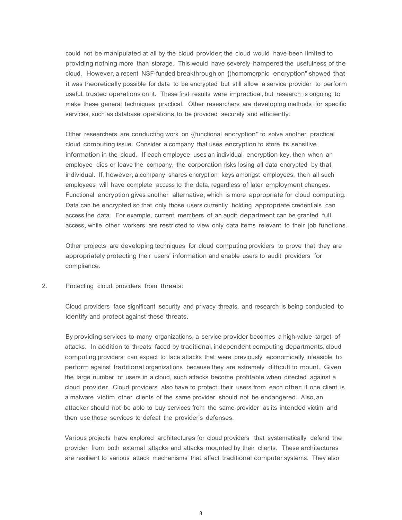services, such as database operations, to be provided securely and efficiently. could not be manipulated at all by the cloud provider; the cloud would have been limited to providing nothing more than storage. This would have severely hampered the usefulness of the cloud. However, a recent NSF-funded breakthrough on {(homomorphic encryption" showed that it was theoretically possible for data to be encrypted but still allow a service provider to perform useful, trusted operations on it. These first results were impractical, but research is ongoing to make these general techniques practical. Other researchers are developing methods for specific

 cloud computing issue. Consider a company that uses encryption to store its sensitive access, while other workers are restricted to view only data items relevant to their job functions. Other researchers are conducting work on {(functional encryption" to solve another practical information in the cloud. If each employee uses an individual encryption key, then when an employee dies or leave the company, the corporation risks losing all data encrypted by that individual. If, however, a company shares encryption keys amongst employees, then all such employees will have complete access to the data, regardless of later employment changes. Functional encryption gives another alternative, which is more appropriate for cloud computing. Data can be encrypted so that only those users currently holding appropriate credentials can access the data. For example, current members of an audit department can be granted full

Other projects are developing techniques for cloud computing providers to prove that they are appropriately protecting their users' information and enable users to audit providers for compliance.

2. Protecting cloud providers from threats:

Cloud providers face significant security and privacy threats, and research is being conducted to identify and protect against these threats.

By providing services to many organizations, a service provider becomes a high-value target of attacks. In addition to threats faced by traditional, independent computing departments, cloud computing providers can expect to face attacks that were previously economically infeasible to perform against traditional organizations because they are extremely difficult to mount. Given the large number of users in a cloud, such attacks become profitable when directed against a cloud provider. Cloud providers also have to protect their users from each other: if one client is a malware victim, other clients of the same provider should not be endangered. Also, an attacker should not be able to buy services from the same provider as its intended victim and then use those services to defeat the provider's defenses.

Various projects have explored architectures for cloud providers that systematically defend the provider from both external attacks and attacks mounted by their clients. These architectures are resilient to various attack mechanisms that affect traditional computer systems. They also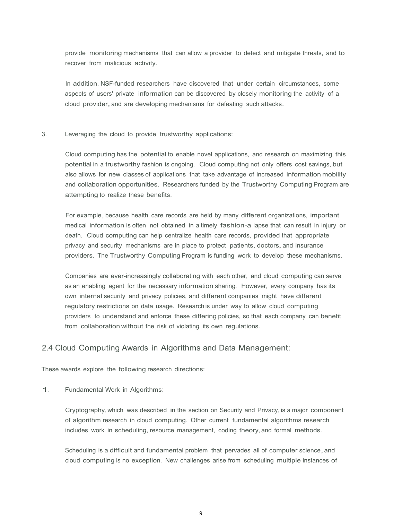provide monitoring mechanisms that can allow a provider to detect and mitigate threats, and to recover from malicious activity.

In addition, NSF-funded researchers have discovered that under certain circumstances, some aspects of users' private information can be discovered by closely monitoring the activity of a cloud provider, and are developing mechanisms for defeating such attacks.

3. Leveraging the cloud to provide trustworthy applications:

 also allows for new classes of applications that take advantage of increased information mobility Cloud computing has the potential to enable novel applications, and research on maximizing this potential in a trustworthy fashion is ongoing. Cloud computing not only offers cost savings, but and collaboration opportunities. Researchers funded by the Trustworthy Computing Program are attempting to realize these benefits.

privacy and security mechanisms are in place to protect patients, doctors, and insurance For example, because health care records are held by many different organizations, important medical information is often not obtained in a timely fashion-a lapse that can result in injury or death. Cloud computing can help centralize health care records, provided that appropriate providers. The Trustworthy Computing Program is funding work to develop these mechanisms.

Companies are ever-increasingly collaborating with each other, and cloud computing can serve as an enabling agent for the necessary information sharing. However, every company has its own internal security and privacy policies, and different companies might have different regulatory restrictions on data usage. Research is under way to allow cloud computing providers to understand and enforce these differing policies, so that each company can benefit from collaboration without the risk of violating its own regulations.

### 2.4 Cloud Computing Awards in Algorithms and Data Management:

These awards explore the following research directions:

1. Fundamental Work in Algorithms:

Cryptography, which was described in the section on Security and Privacy, is a major component of algorithm research in cloud computing. Other current fundamental algorithms research includes work in scheduling, resource management, coding theory, and formal methods.

Scheduling is a difficult and fundamental problem that pervades all of computer science, and cloud computing is no exception. New challenges arise from scheduling multiple instances of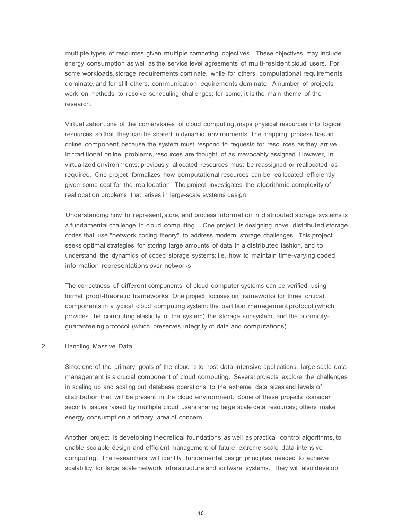multiple types of resources given multiple competing objectives. These objectives may include energy consumption as well as the service level agreements of multi-resident cloud users. For some workloads,storage requirements dominate, while for others, computational requirements dominate, and for still others, communication requirements dominate. A number of projects work on methods to resolve scheduling challenges; for some, it is the main theme of the research.

Virtualization, one of the cornerstones of cloud computing, maps physical resources into logical resources so that they can be shared in dynamic environments. The mapping process has an online component, because the system must respond to requests for resources as they arrive. In traditional online problems, resources are thought of as irrevocably assigned. However, in virtualized environments, previously allocated resources must be reassigned or reallocated as required. One project formalizes how computational resources can be reallocated efficiently given some cost for the reallocation. The project investigates the algorithmic complexity of reallocation problems that arises in large-scale systems design.

 a fundamental challenge in cloud computing. One project is designing novel distributed storage understand the dynamics of coded storage systems; i.e., how to maintain time-varying coded Understanding how to represent, store, and process information in distributed storage systems is codes that use "network coding theory" to address modern storage challenges. This project seeks optimal strategies for storing large amounts of data in a distributed fashion, and to information representations over networks.

The correctness of different components of cloud computer systems can be verified using formal proof-theoretic frameworks. One project focuses on frameworks for three critical components in a typical cloud computing system: the partition management protocol (which provides the computing elasticity of the system), the storage subsystem, and the atomicityguaranteeing protocol (which preserves integrity of data and computations).

#### 2. Handling Massive Data:

Since one of the primary goals of the cloud is to host data-intensive applications, large-scale data management is a crucial component of cloud computing. Several projects explore the challenges in scaling up and scaling out database operations to the extreme data sizes and levels of distribution that will be present in the cloud environment. Some of these projects consider security issues raised by multiple cloud users sharing large scale data resources; others make energy consumption a primary area of concern.

Another project is developing theoretical foundations, as well as practical control algorithms, to enable scalable design and efficient management of future extreme-scale data-intensive computing. The researchers will identify fundamental design principles needed to achieve scalability for large scale network infrastructure and software systems. They will also develop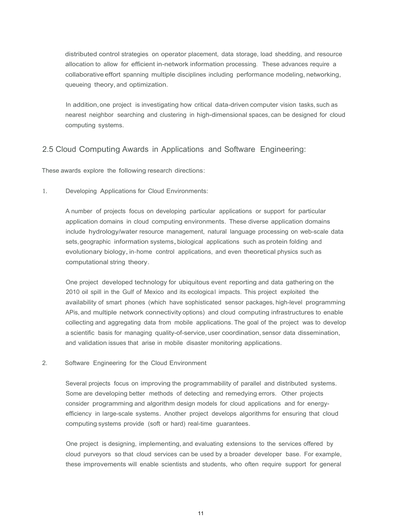distributed control strategies on operator placement, data storage, load shedding, and resource allocation to allow for efficient in-network information processing. These advances require a collaborative effort spanning multiple disciplines including performance modeling, networking, queueing theory, and optimization.

 In addition, one project is investigating how critical data-driven computer vision tasks, such as nearest neighbor searching and clustering in high-dimensional spaces, can be designed for cloud computing systems.

### 2.5 Cloud Computing Awards in Applications and Software Engineering:

These awards explore the following research directions:

1. Developing Applications for Cloud Environments:

A number of projects focus on developing particular applications or support for particular application domains in cloud computing environments. These diverse application domains include hydrology/water resource management, natural language processing on web-scale data sets, geographic information systems, biological applications such as protein folding and evolutionary biology, in-home control applications, and even theoretical physics such as computational string theory.

One project developed technology for ubiquitous event reporting and data gathering on the 2010 oil spill in the Gulf of Mexico and its ecological impacts. This project exploited the availability of smart phones (which have sophisticated sensor packages, high-level programming APis, and multiple network connectivity options) and cloud computing infrastructures to enable collecting and aggregating data from mobile applications. The goal of the project was to develop a scientific basis for managing quality-of-service, user coordination, sensor data dissemination, and validation issues that arise in mobile disaster monitoring applications.

2. Software Engineering for the Cloud Environment

 Some are developing better methods of detecting and remedying errors. Other projects efficiency in large-scale systems. Another project develops algorithms for ensuring that cloud computing systems provide (soft or hard) real-time guarantees. Several projects focus on improving the programmability of parallel and distributed systems. consider programming and algorithm design models for cloud applications and for energy-

One project is designing, implementing, and evaluating extensions to the services offered by cloud purveyors so that cloud services can be used by a broader developer base. For example, these improvements will enable scientists and students, who often require support for general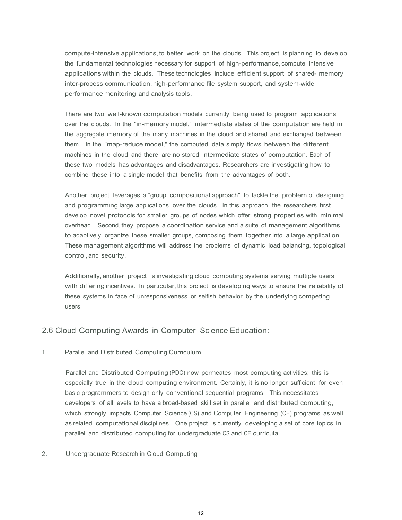compute-intensive applications, to better work on the clouds. This project is planning to develop the fundamental technologies necessary for support of high-performance, compute intensive applications within the clouds. These technologies include efficient support of shared- memory inter-process communication, high-performance file system support, and system-wide performance monitoring and analysis tools.

There are two well-known computation models currently being used to program applications over the clouds. In the "in-memory model," intermediate states of the computation are held in the aggregate memory of the many machines in the cloud and shared and exchanged between them. In the "map-reduce model," the computed data simply flows between the different machines in the cloud and there are no stored intermediate states of computation. Each of these two models has advantages and disadvantages. Researchers are investigating how to combine these into a single model that benefits from the advantages of both.

Another project leverages a "group compositional approach" to tackle the problem of designing and programming large applications over the clouds. In this approach, the researchers first develop novel protocols for smaller groups of nodes which offer strong properties with minimal overhead. Second, they propose a coordination service and a suite of management algorithms to adaptively organize these smaller groups, composing them together into a large application. These management algorithms will address the problems of dynamic load balancing, topological control,and security.

Additionally, another project is investigating cloud computing systems serving multiple users with differing incentives. In particular, this project is developing ways to ensure the reliability of these systems in face of unresponsiveness or selfish behavior by the underlying competing users.

#### 2.6 Cloud Computing Awards in Computer Science Education:

1. Parallel and Distributed Computing Curriculum

 developers of all levels to have a broad-based skill set in parallel and distributed computing, Parallel and Distributed Computing (PDC) now permeates most computing activities; this is especially true in the cloud computing environment. Certainly, it is no longer sufficient for even basic programmers to design only conventional sequential programs. This necessitates which strongly impacts Computer Science (CS) and Computer Engineering (CE) programs as well as related computational disciplines. One project is currently developing a set of core topics in parallel and distributed computing for undergraduate CS and CE curricula.

#### 2. Undergraduate Research in Cloud Computing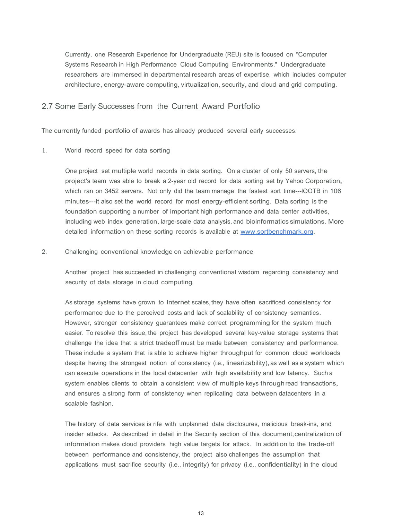architecture, energy-aware computing, virtualization, security, and cloud and grid computing. Currently, one Research Experience for Undergraduate (REU) site is focused on "Computer Systems Research in High Performance Cloud Computing Environments." Undergraduate researchers are immersed in departmental research areas of expertise, which includes computer

#### 2.7 Some Early Successes from the Current Award Portfolio

The currently funded portfolio of awards has already produced several early successes.

 $1.$ World record speed for data sorting

> including web index generation, large-scale data analysis, and bioinformatics simulations. More One project set multiple world records in data sorting. On a cluster of only 50 servers, the project's team was able to break a 2-year old record for data sorting set by Yahoo Corporation, which ran on 3452 servers. Not only did the team manage the fastest sort time---lOOTB in 106 minutes---it also set the world record for most energy-efficient sorting. Data sorting is the foundation supporting a number of important high performance and data center activities, detailed information on these sorting records is available at [www.sortbenchmark.org.](http://www.nsf.gov/cgi-bin/good-bye?http://www.sortbenchmark.org)

2. Challenging conventional knowledge on achievable performance

Another project has succeeded in challenging conventional wisdom regarding consistency and security of data storage in cloud computing.

 As storage systems have grown to Internet scales, they have often sacrificed consistency for despite having the strongest notion of consistency (i.e., linearizability), as well as a system which can execute operations in the local datacenter with high availability and low latency. Such a system enables clients to obtain a consistent view of multiple keys through read transactions, performance due to the perceived costs and lack of scalability of consistency semantics. However, stronger consistency guarantees make correct programming for the system much easier. To resolve this issue, the project has developed several key-value storage systems that challenge the idea that a strict tradeoff must be made between consistency and performance. These include a system that is able to achieve higher throughput for common cloud workloads and ensures a strong form of consistency when replicating data between datacenters in a scalable fashion.

The history of data services is rife with unplanned data disclosures, malicious break-ins, and insider attacks. As described in detail in the Security section of this document,centralization of information makes cloud providers high value targets for attack. In addition to the trade-off between performance and consistency, the project also challenges the assumption that applications must sacrifice security (i.e., integrity) for privacy (i.e., confidentiality) in the cloud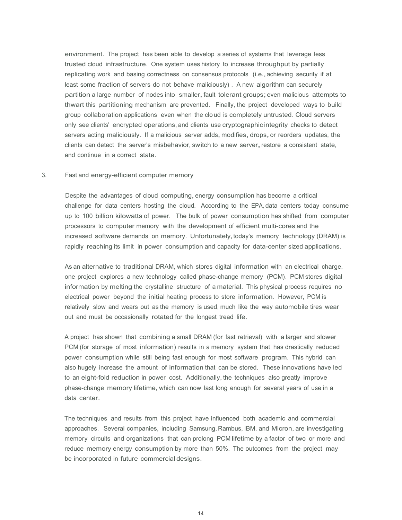servers acting maliciously. If a malicious server adds, modifies, drops, or reorders updates, the environment. The project has been able to develop a series of systems that leverage less trusted cloud infrastructure. One system uses history to increase throughput by partially replicating work and basing correctness on consensus protocols (i.e., achieving security if at least some fraction of servers do not behave maliciously) . A new algorithm can securely partition a large number of nodes into smaller,fault tolerant groups;even malicious attempts to thwart this partitioning mechanism are prevented. Finally, the project developed ways to build group collaboration applications even when the clo ud is completely untrusted. Cloud servers only see clients' encrypted operations, and clients use cryptographic integrity checks to detect clients can detect the server's misbehavior, switch to a new server, restore a consistent state, and continue in a correct state.

#### 3. Fast and energy-efficient computer memory

 up to 100 billion kilowatts of power. The bulk of power consumption has shifted from computer rapidly reaching its limit in power consumption and capacity for data-center sized applications. Despite the advantages of cloud computing,energy consumption has become a critical challenge for data centers hosting the cloud. According to the EPA, data centers today consume processors to computer memory with the development of efficient multi-cores and the increased software demands on memory. Unfortunately,today's memory technology (DRAM) is

 relatively slow and wears out as the memory is used, much like the way automobile tires wear As an alternative to traditional DRAM, which stores digital information with an electrical charge, one project explores a new technology called phase-change memory (PCM). PCM stores digital information by melting the crystalline structure of a material. This physical process requires no electrical power beyond the initial heating process to store information. However, PCM is out and must be occasionally rotated for the longest tread life.

 also hugely increase the amount of information that can be stored. These innovations have led phase-change memory lifetime, which can now last long enough for several years of use in a A project has shown that combining a small DRAM (for fast retrieval) with a larger and slower PCM (for storage of most information) results in a memory system that has drastically reduced power consumption while still being fast enough for most software program. This hybrid can to an eight-fold reduction in power cost. Additionally, the techniques also greatly improve data center.

The techniques and results from this project have influenced both academic and commercial approaches. Several companies, including Samsung, Rambus, IBM, and Micron, are investigating memory circuits and organizations that can prolong PCM lifetime by a factor of two or more and reduce memory energy consumption by more than 50%. The outcomes from the project may be incorporated in future commercial designs.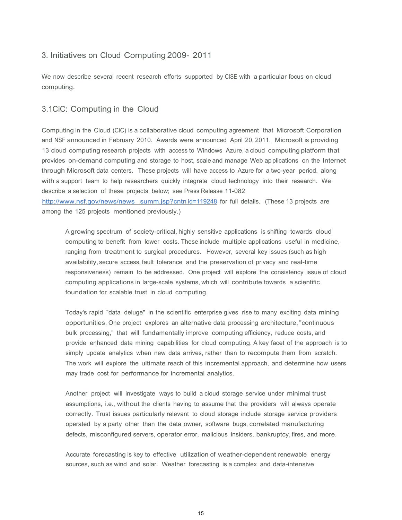### 3. Initiatives on Cloud Computing 2009- 2011

We now describe several recent research efforts supported by CISE with a particular focus on cloud computing.

### 3.1CiC: Computing in the Cloud

Computing in the Cloud (CiC) is a collaborative cloud computing agreement that Microsoft Corporation and NSF announced in February 2010. Awards were announced April 20, 2011. Microsoft is providing 13 cloud computing research projects with access to Windows Azure, a cloud computing platform that provides on-demand computing and storage to host, scale and manage Web ap plications on the Internet through Microsoft data centers. These projects will have access to Azure for a two-year period, along with a support team to help researchers quickly integrate cloud technology into their research. We describe a selection of these projects below; see Press Release 11-082

[http://www.nsf.gov/news/news summ.jsp?cntn id=119248](http://www.nsf.gov/news/news  summ.jsp?cntn id=119248) for full details. (These 13 projects are among the 125 projects mentioned previously.)

 A growing spectrum of society-critical, highly sensitive applications is shifting towards cloud responsiveness) remain to be addressed. One project will explore the consistency issue of cloud computing applications in large-scale systems, which will contribute towards a scientific computing to benefit from lower costs. These include multiple applications useful in medicine, ranging from treatment to surgical procedures. However, several key issues (such as high availability, secure access, fault tolerance and the preservation of privacy and real-time foundation for scalable trust in cloud computing.

Today's rapid "data deluge" in the scientific enterprise gives rise to many exciting data mining opportunities. One project explores an alternative data processing architecture, "continuous bulk processing," that will fundamentally improve computing efficiency, reduce costs, and provide enhanced data mining capabilities for cloud computing. A key facet of the approach is to simply update analytics when new data arrives, rather than to recompute them from scratch. The work will explore the ultimate reach of this incremental approach, and determine how users may trade cost for performance for incremental analytics.

Another project will investigate ways to build a cloud storage service under minimal trust assumptions, i.e., without the clients having to assume that the providers will always operate correctly. Trust issues particularly relevant to cloud storage include storage service providers operated by a party other than the data owner, software bugs, correlated manufacturing defects, misconfigured servers, operator error, malicious insiders, bankruptcy, fires, and more.

 Accurate forecasting is key to effective utilization of weather-dependent renewable energy sources, such as wind and solar. Weather forecasting is a complex and data-intensive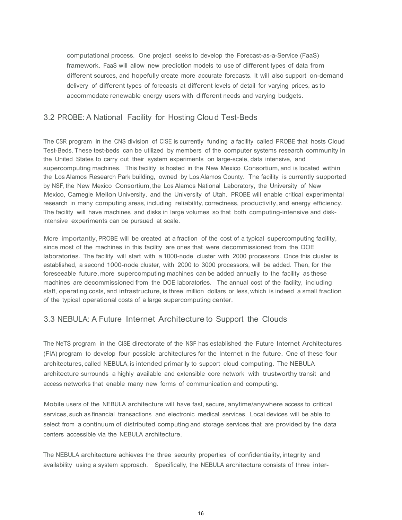framework. FaaS will allow new prediction models to use of different types of data from computational process. One project seeks to develop the Forecast-as-a-Service (FaaS) different sources, and hopefully create more accurate forecasts. It will also support on-demand delivery of different types of forecasts at different levels of detail for varying prices, as to accommodate renewable energy users with different needs and varying budgets.

### 3.2 PROBE: A National Facility for Hosting Clou d Test-Beds

The CSR program in the CNS division of CISE is currently funding a facility called PROBE that hosts Cloud Test-Beds. These test-beds can be utilized by members of the computer systems research community in the United States to carry out their system experiments on large-scale, data intensive, and supercomputing machines. This facility is hosted in the New Mexico Consortium, and is located within the Los Alamos Research Park building, owned by Los Alamos County. The facility is currently supported by NSF, the New Mexico Consortium, the Los Alamos National Laboratory, the University of New Mexico, Carnegie Mellon University, and the University of Utah. PROBE will enable critical experimental research in many computing areas, including reliability, correctness, productivity, and energy efficiency. The facility will have machines and disks in large volumes so that both computing-intensive and diskintensive experiments can be pursued at scale.

 More importantly, PROBE will be created at a fraction of the cost of a typical supercomputing facility, since most of the machines in this facility are ones that were decommissioned from the DOE laboratories. The facility will start with a 1000-node cluster with 2000 processors. Once this cluster is established, a second 1000-node cluster, with 2000 to 3000 processors, will be added. Then, for the foreseeable future, more supercomputing machines can be added annually to the facility as these machines are decommissioned from the DOE laboratories. The annual cost of the facility, including staff, operating costs, and infrastructure, is three million dollars or less, which is indeed a small fraction of the typical operational costs of a large supercomputing center.

### 3.3 NEBULA: A Future Internet Architecture to Support the Clouds

The NeTS program in the CISE directorate of the NSF has established the Future Internet Architectures (FIA) program to develop four possible architectures for the Internet in the future. One of these four architectures, called NEBULA, is intended primarily to support cloud computing. The NEBULA architecture surrounds a highly available and extensible core network with trustworthy transit and access networks that enable many new forms of communication and computing.

Mobile users of the NEBULA architecture will have fast, secure, anytime/anywhere access to critical services, such as financial transactions and electronic medical services. Local devices will be able to select from a continuum of distributed computing and storage services that are provided by the data centers accessible via the NEBULA architecture.

The NEBULA architecture achieves the three security properties of confidentiality, integrity and availability using a system approach. Specifically, the NEBULA architecture consists of three inter-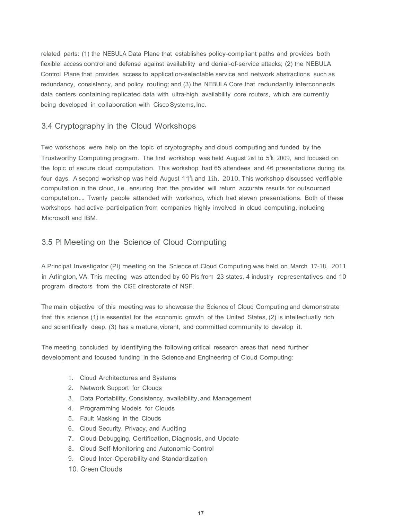flexible access control and defense against availability and denial-of-service attacks; (2) the NEBULA related parts: (1) the NEBULA Data Plane that establishes policy-compliant paths and provides both Control Plane that provides access to application-selectable service and network abstractions such as redundancy, consistency, and policy routing; and (3) the NEBULA Core that redundantly interconnects data centers containing replicated data with ultra-high availability core routers, which are currently being developed in collaboration with Cisco Systems, Inc.

### 3.4 Cryptography in the Cloud Workshops

 computation.. Twenty people attended with workshop, which had eleven presentations. Both of these Two workshops were help on the topic of cryptography and cloud computing and funded by the Trustworthy Computing program. The first workshop was held August 2nd to  $5^{\text{h}}$ , 2009, and focused on the topic of secure cloud computation. This workshop had 65 attendees and 46 presentations during its four days. A second workshop was held August 11<sup>1</sup>h and 1ih, 2010. This workshop discussed verifiable computation in the cloud, i.e., ensuring that the provider will return accurate results for outsourced workshops had active participation from companies highly involved in cloud computing, including Microsoft and IBM.

### 3.5 PI Meeting on the Science of Cloud Computing

 A Principal Investigator (PI) meeting on the Science of Cloud Computing was held on March 17-18, 2011 program directors from the CISE directorate of NSF. in Arlington, VA. This meeting was attended by 60 Pis from 23 states, 4 industry representatives, and 10

 The main objective of this meeting was to showcase the Science of Cloud Computing and demonstrate that this science (1) is essential for the economic growth of the United States, (2) is intellectually rich and scientifically deep, (3) has a mature, vibrant, and committed community to develop it.

 development and focused funding in the Science and Engineering of Cloud Computing: The meeting concluded by identifying the following critical research areas that need further

- 1. Cloud Architectures and Systems
- 2. Network Support for Clouds
- 3. Data Portability, Consistency, availability, and Management
- 4. Programming Models for Clouds
- 5. Fault Masking in the Clouds
- 6. Cloud Security, Privacy,and Auditing
- 7. Cloud Debugging, Certification, Diagnosis,and Update
- 8. Cloud Self-Monitoring and Autonomic Control
- 9. Cloud Inter-Operability and Standardization
- 10. Green Clouds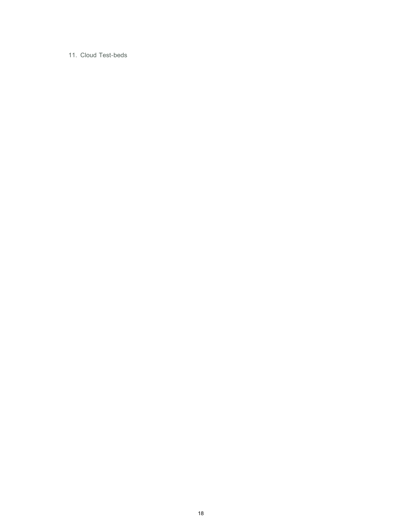#### 11. Cloud Test-beds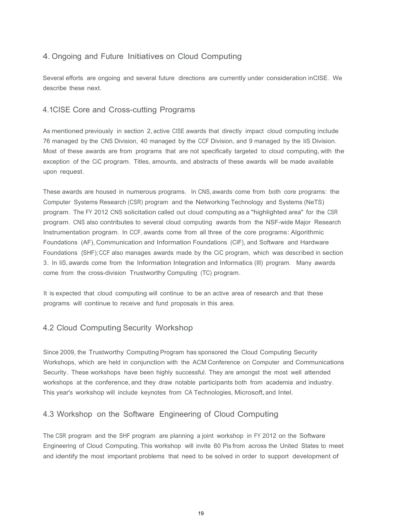# 4. Ongoing and Future Initiatives on Cloud Computing

Several efforts are ongoing and several future directions are currently under consideration inCISE. We describe these next.

### 4.1CISE Core and Cross-cutting Programs

 Most of these awards are from programs that are not specifically targeted to cloud computing, with the As mentioned previously in section 2, active CISE awards that directly impact cloud computing include 76 managed by the CNS Division, 40 managed by the CCF Division, and 9 managed by the liS Division. exception of the CiC program. Titles, amounts, and abstracts of these awards will be made available upon request.

These awards are housed in numerous programs. In CNS, awards come from both core programs: the Computer Systems Research (CSR) program and the Networking Technology and Systems (NeTS) program. The FY 2012 CNS solicitation called out cloud computing as a "highlighted area" for the CSR program. CNS also contributes to several cloud computing awards from the NSF-wide Major Research Instrumentation program. In CCF, awards come from all three of the core programs: Algorithmic Foundations (AF), Communication and Information Foundations (CIF), and Software and Hardware Foundations {SHF); CCF also manages awards made by the CiC program, which was described in section 3. In liS, awards come from the Information Integration and Informatics (Ill) program. Many awards come from the cross-division Trustworthy Computing (TC) program.

It is expected that cloud computing will continue to be an active area of research and that these programs will continue to receive and fund proposals in this area.

### 4.2 Cloud Computing Security Workshop

Since 2009, the Trustworthy Computing Program has sponsored the Cloud Computing Security Workshops, which are held in conjunction with the ACM Conference on Computer and Communications Security. These workshops have been highly successful. They are amongst the most well attended workshops at the conference, and they draw notable participants both from academia and industry. This year's workshop will include keynotes from CA Technologies, Microsoft, and Intel.

### 4.3 Workshop on the Software Engineering of Cloud Computing

The CSR program and the SHF program are planning a joint workshop in FY 2012 on the Software Engineering of Cloud Computing. This workshop will invite 60 Pis from across the United States to meet and identify the most important problems that need to be solved in order to support development of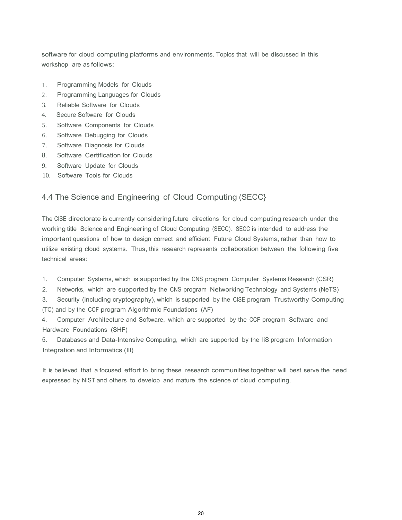software for cloud computing platforms and environments. Topics that will be discussed in this workshop are as follows:

- 1. Programming Models for Clouds
- 2. Programming Languages for Clouds
- 3. Reliable Software for Clouds
- 4. Secure Software for Clouds
- $5.$ 5. Software Components for Clouds
- 6. Software Debugging for Clouds
- 7. Software Diagnosis for Clouds
- 8. Software Certification for Clouds
- 9. Software Update for Clouds
- 10. Software Tools for Clouds

# 4.4 The Science and Engineering of Cloud Computing (SECC}

 working title Science and Engineering of Cloud Computing (SECC). SECC is intended to address the utilize existing cloud systems. Thus, this research represents collaboration between the following five The CISE directorate is currently considering future directions for cloud computing research under the important questions of how to design correct and efficient Future Cloud Systems,rather than how to technical areas:

- 1. Computer Systems, which is supported by the CNS program Computer Systems Research (CSR)
- 2. Networks, which are supported by the CNS program Networking Technology and Systems (NeTS)

 3. Security (including cryptography), which is supported by the CISE program Trustworthy Computing (TC) and by the CCF program Algorithmic Foundations (AF)

4. Computer Architecture and Software, which are supported by the CCF program Software and Hardware Foundations (SHF)

5. Databases and Data-Intensive Computing, which are supported by the liS program Information Integration and Informatics (Ill)

It is believed that a focused effort to bring these research communities together will best serve the need expressed by NIST and others to develop and mature the science of cloud computing.